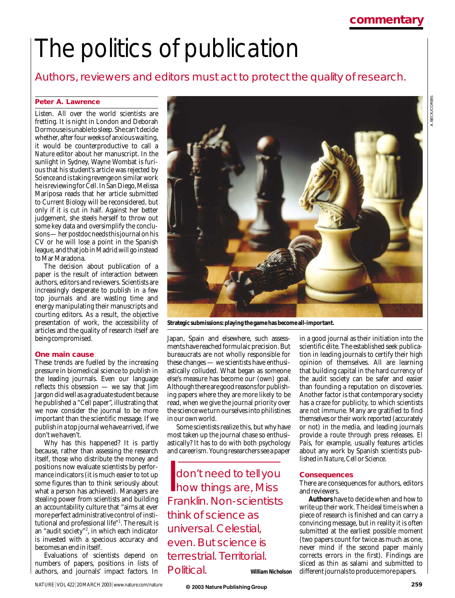## **commentary**

# The politics of publication

Authors, reviewers and editors must act to protect the quality of research.

#### **Peter A. Lawrence**

Listen. All over the world scientists are fretting. It is night in London and Deborah Dormouse is unable to sleep. She can't decide whether, after four weeks of anxious waiting, it would be counterproductive to call a *Nature* editor about her manuscript. In the sunlight in Sydney, Wayne Wombat is furious that his student's article was rejected by *Science* and is taking revenge on similar work he is reviewing for *Cell*. In San Diego, Melissa Mariposa reads that her article submitted to *Current Biology* will be reconsidered, but only if it is cut in half. Against her better judgement, she steels herself to throw out some key data and oversimplify the conclusions — her postdoc needs this journal on his CV or he will lose a point in the Spanish league, and that job in Madrid will go instead to Mar Maradona.

The decision about publication of a paper is the result of interaction between authors, editors and reviewers. Scientists are increasingly desperate to publish in a few top journals and are wasting time and energy manipulating their manuscripts and courting editors. As a result, the objective presentation of work, the accessibility of articles and the quality of research itself are being compromised.

#### **One main cause**

These trends are fuelled by the increasing pressure in biomedical science to publish in the leading journals. Even our language reflects this obsession — we say that Jim Jargon did well as a graduate student because he published a "*Cell* paper", illustrating that we now consider the journal to be more important than the scientific message. If we publish in a top journal we have arrived, if we don't we haven't.

Why has this happened? It is partly because, rather than assessing the research itself, those who distribute the money and positions now evaluate scientists by performance indicators (it is much easier to tot up some figures than to think seriously about what a person has achieved). Managers are stealing power from scientists and building an accountability culture that "aims at ever more perfect administrative control of institutional and professional life"<sup>1</sup>. The result is an "audit society"<sup>2</sup>, in which each indicator is invested with a specious accuracy and becomes an end in itself.

Evaluations of scientists depend on numbers of papers, positions in lists of authors, and journals' impact factors. In



**Strategic submissions: playing the game has become all-important.**

Japan, Spain and elsewhere, such assessments have reached formulaic precision. But bureaucrats are not wholly responsible for these changes — we scientists have enthusiastically colluded. What began as someone else's measure has become our (own) goal. Although there are good reasons for publishing papers where they are more likely to be read, when we give the journal priority over the science we turn ourselves into philistines in our own world.

Some scientists realize this, but why have most taken up the journal chase so enthusiastically? It has to do with both psychology and careerism. Young researchers see a paper

|<br>| don't need to tell you how things are, Miss Franklin. Non-scientists think of science as universal. Celestial, even. But science is terrestrial. Territorial. Political. **William Nicholson**

in a good journal as their initiation into the scientific élite. The established seek publication in leading journals to certify their high opinion of themselves. All are learning that building capital in the hard currency of the audit society can be safer and easier than founding a reputation on discoveries. Another factor is that contemporary society has a craze for publicity, to which scientists are not immune. Many are gratified to find themselves or their work reported (accurately or not) in the media, and leading journals provide a route through press releases. *El País*, for example, usually features articles about any work by Spanish scientists published in *Nature*, *Cell* or *Science*.

#### **Consequences**

There are consequences for authors, editors and reviewers.

**Authors** have to decide when and how to write up their work. The ideal time is when a piece of research is finished and can carry a convincing message, but in reality it is often submitted at the earliest possible moment (two papers count for twice as much as one, never mind if the second paper mainly corrects errors in the first). Findings are sliced as thin as salami and submitted to different journals to produce more papers.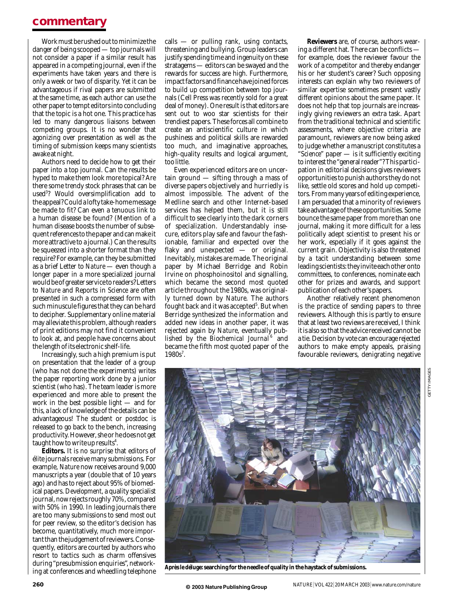## **commentary**

Work must be rushed out to minimize the danger of being scooped — top journals will not consider a paper if a similar result has appeared in a competing journal, even if the experiments have taken years and there is only a week or two of disparity. Yet it can be advantageous if rival papers are submitted at the same time, as each author can use the other paper to tempt editors into concluding that the topic is a hot one. This practice has led to many dangerous liaisons between competing groups. It is no wonder that agonizing over presentation as well as the timing of submission keeps many scientists awake at night.

Authors need to decide how to get their paper into a top journal. Can the results be hyped to make them look more topical? Are there some trendy stock phrases that can be used<sup>3</sup>? Would oversimplification add to the appeal? Could a lofty take-home message be made to fit? Can even a tenuous link to a human disease be found? (Mention of a human disease boosts the number of subsequent references to the paper and can make it more attractive to a journal.) Can the results be squeezed into a shorter format than they require? For example, can they be submitted as a brief Letter to *Nature* — even though a longer paper in a more specialized journal would be of greater service to readers? Letters to *Nature* and Reports in *Science* are often presented in such a compressed form with such minuscule figures that they can be hard to decipher. Supplementary online material may alleviate this problem, although readers of print editions may not find it convenient to look at, and people have concerns about the length of its electronic shelf-life.

Increasingly, such a high premium is put on presentation that the leader of a group (who has not done the experiments) writes the paper reporting work done by a junior scientist (who has). The team leader is more experienced and more able to present the work in the best possible light — and for this, a lack of knowledge of the details can be advantageous! The student or postdoc is released to go back to the bench, increasing productivity. However, she or he does not get taught how to write up results<sup>4</sup>.

**Editors.** It is no surprise that editors of élite journals receive many submissions. For example, *Nature* now receives around 9,000 manuscripts a year (double that of 10 years ago) and has to reject about 95% of biomedical papers. *Development*, a quality specialist journal, now rejects roughly 70%, compared with 50% in 1990. In leading journals there are too many submissions to send most out for peer review, so the editor's decision has become, quantitatively, much more important than the judgement of reviewers. Consequently, editors are courted by authors who resort to tactics such as charm offensives during "presubmission enquiries", networking at conferences and wheedling telephone

calls — or pulling rank, using contacts, threatening and bullying. Group leaders can justify spending time and ingenuity on these stratagems — editors can be swayed and the rewards for success are high. Furthermore, impact factors and finance have joined forces to build up competition between top journals (Cell Press was recently sold for a great deal of money). One result is that editors are sent out to woo star scientists for their trendiest papers. These forces all combine to create an antiscientific culture in which pushiness and political skills are rewarded too much, and imaginative approaches, high-quality results and logical argument, too little.

Even experienced editors are on uncertain ground — sifting through a mass of diverse papers objectively and hurriedly is almost impossible. The advent of the Medline search and other Internet-based services has helped them, but it is still difficult to see clearly into the dark corners of specialization. Understandably insecure, editors play safe and favour the fashionable, familiar and expected over the flaky and unexpected — or original. Inevitably, mistakes are made. The original paper by Michael Berridge and Robin Irvine on phosphoinositol and signalling, which became the second most quoted article throughout the 1980s, was originally turned down by *Nature*. The authors fought back and it was accepted<sup>5</sup>. But when Berridge synthesized the information and added new ideas in another paper, it was rejected again by *Nature*, eventually published by the *Biochemical Journal*<sup>6</sup> and became the fifth most quoted paper of the  $1980s^7$ .

**Reviewers** are, of course, authors wearing a different hat. There can be conflicts for example, does the reviewer favour the work of a competitor and thereby endanger his or her student's career? Such opposing interests can explain why two reviewers of similar expertise sometimes present vastly different opinions about the same paper. It does not help that top journals are increasingly giving reviewers an extra task. Apart from the traditional technical and scientific assessments, where objective criteria are paramount, reviewers are now being asked to judge whether a manuscript constitutes a "*Science*" paper — is it sufficiently exciting to interest the "general reader"? This participation in editorial decisions gives reviewers opportunities to punish authors they do not like, settle old scores and hold up competitors. From many years of editing experience, I am persuaded that a minority of reviewers take advantage of these opportunities. Some bounce the same paper from more than one journal, making it more difficult for a less politically adept scientist to present his or her work, especially if it goes against the current grain. Objectivity is also threatened by a tacit understanding between some leading scientists: they invite each other onto committees, to conferences, nominate each other for prizes and awards, and support publication of each other's papers.

Another relatively recent phenomenon is the practice of sending papers to three reviewers. Although this is partly to ensure that at least two reviews are received, I think it is also so that the advice received cannot be a tie. Decision by vote can encourage rejected authors to make empty appeals, praising favourable reviewers, denigrating negative





*Après le déluge***: searching for the needle of quality in the haystack of submissions.**